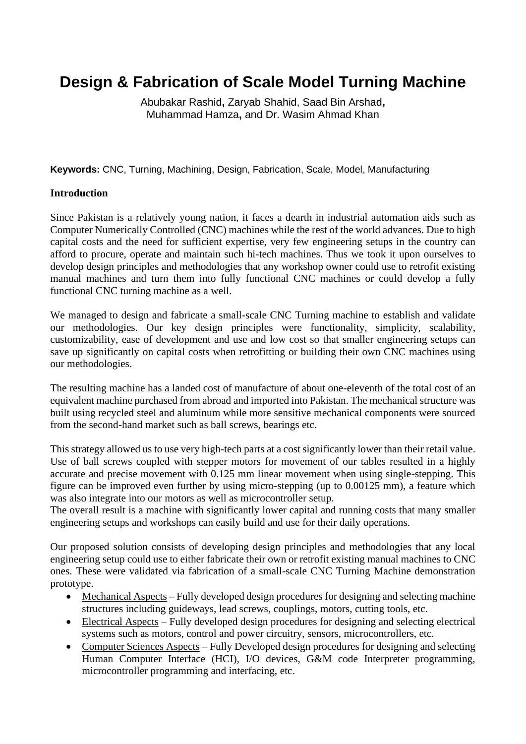# **Design & Fabrication of Scale Model Turning Machine**

Abubakar Rashid**,** Zaryab Shahid, Saad Bin Arshad**,**  Muhammad Hamza**,** and Dr. Wasim Ahmad Khan

**Keywords:** CNC, Turning, Machining, Design, Fabrication, Scale, Model, Manufacturing

#### **Introduction**

Since Pakistan is a relatively young nation, it faces a dearth in industrial automation aids such as Computer Numerically Controlled (CNC) machines while the rest of the world advances. Due to high capital costs and the need for sufficient expertise, very few engineering setups in the country can afford to procure, operate and maintain such hi-tech machines. Thus we took it upon ourselves to develop design principles and methodologies that any workshop owner could use to retrofit existing manual machines and turn them into fully functional CNC machines or could develop a fully functional CNC turning machine as a well.

We managed to design and fabricate a small-scale CNC Turning machine to establish and validate our methodologies. Our key design principles were functionality, simplicity, scalability, customizability, ease of development and use and low cost so that smaller engineering setups can save up significantly on capital costs when retrofitting or building their own CNC machines using our methodologies.

The resulting machine has a landed cost of manufacture of about one-eleventh of the total cost of an equivalent machine purchased from abroad and imported into Pakistan. The mechanical structure was built using recycled steel and aluminum while more sensitive mechanical components were sourced from the second-hand market such as ball screws, bearings etc.

This strategy allowed us to use very high-tech parts at a cost significantly lower than their retail value. Use of ball screws coupled with stepper motors for movement of our tables resulted in a highly accurate and precise movement with 0.125 mm linear movement when using single-stepping. This figure can be improved even further by using micro-stepping (up to 0.00125 mm), a feature which was also integrate into our motors as well as microcontroller setup.

The overall result is a machine with significantly lower capital and running costs that many smaller engineering setups and workshops can easily build and use for their daily operations.

Our proposed solution consists of developing design principles and methodologies that any local engineering setup could use to either fabricate their own or retrofit existing manual machines to CNC ones. These were validated via fabrication of a small-scale CNC Turning Machine demonstration prototype.

- Mechanical Aspects Fully developed design procedures for designing and selecting machine structures including guideways, lead screws, couplings, motors, cutting tools, etc.
- Electrical Aspects Fully developed design procedures for designing and selecting electrical systems such as motors, control and power circuitry, sensors, microcontrollers, etc.
- Computer Sciences Aspects Fully Developed design procedures for designing and selecting Human Computer Interface (HCI), I/O devices, G&M code Interpreter programming, microcontroller programming and interfacing, etc.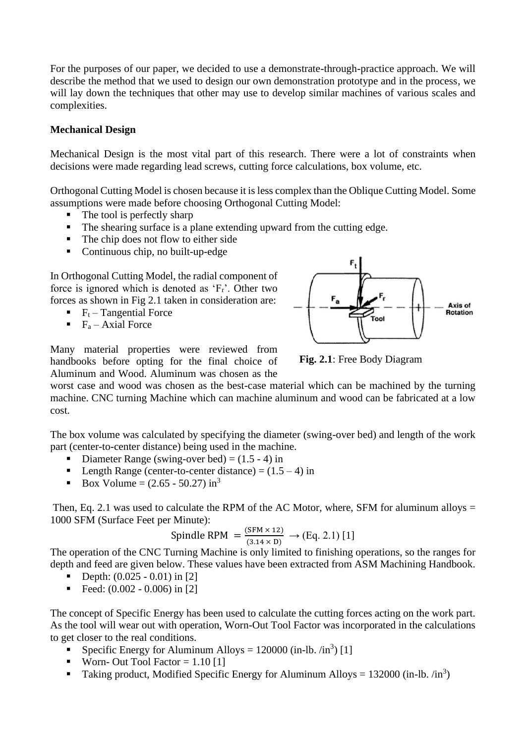For the purposes of our paper, we decided to use a demonstrate-through-practice approach. We will describe the method that we used to design our own demonstration prototype and in the process, we will lay down the techniques that other may use to develop similar machines of various scales and complexities.

#### **Mechanical Design**

Mechanical Design is the most vital part of this research. There were a lot of constraints when decisions were made regarding lead screws, cutting force calculations, box volume, etc.

Orthogonal Cutting Model is chosen because it is less complex than the Oblique Cutting Model. Some assumptions were made before choosing Orthogonal Cutting Model:

- $\blacksquare$  The tool is perfectly sharp
- The shearing surface is a plane extending upward from the cutting edge.
- The chip does not flow to either side
- Continuous chip, no built-up-edge

In Orthogonal Cutting Model, the radial component of force is ignored which is denoted as 'Fr'. Other two forces as shown in Fig 2.1 taken in consideration are:

- $\blacksquare$   $F_t$  Tangential Force
- $\blacksquare$  F<sub>a</sub> Axial Force

Many material properties were reviewed from handbooks before opting for the final choice of Aluminum and Wood. Aluminum was chosen as the



**Fig. 2.1**: Free Body Diagram

worst case and wood was chosen as the best-case material which can be machined by the turning machine. CNC turning Machine which can machine aluminum and wood can be fabricated at a low cost.

The box volume was calculated by specifying the diameter (swing-over bed) and length of the work part (center-to-center distance) being used in the machine.

- Diameter Range (swing-over bed)  $= (1.5 4)$  in
- **•** Length Range (center-to-center distance) =  $(1.5 4)$  in
- **•** Box Volume =  $(2.65 50.27)$  in<sup>3</sup>

Then, Eq. 2.1 was used to calculate the RPM of the AC Motor, where, SFM for aluminum alloys  $=$ 1000 SFM (Surface Feet per Minute):

Spindle RPM = 
$$
\frac{(SFM \times 12)}{(3.14 \times D)}
$$
 → (Eq. 2.1) [1]

The operation of the CNC Turning Machine is only limited to finishing operations, so the ranges for depth and feed are given below. These values have been extracted from ASM Machining Handbook.

- **•** Depth:  $(0.025 0.01)$  in [2]
- Feed:  $(0.002 0.006)$  in [2]

The concept of Specific Energy has been used to calculate the cutting forces acting on the work part. As the tool will wear out with operation, Worn-Out Tool Factor was incorporated in the calculations to get closer to the real conditions.

- **•** Specific Energy for Aluminum Alloys =  $120000$  (in-lb.  $\sin^3$ ) [1]
- **•** Worn- Out Tool Factor =  $1.10$  [1]
- **Taking product, Modified Specific Energy for Aluminum Alloys = 132000 (in-lb.** /in<sup>3</sup>)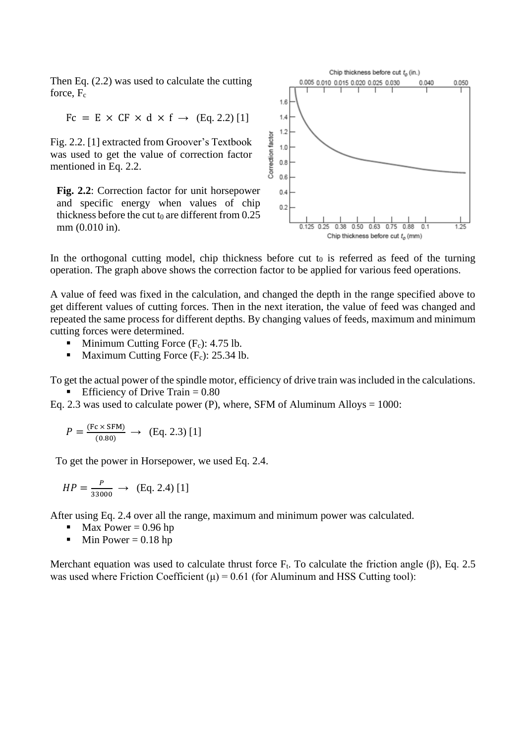Then Eq. (2.2) was used to calculate the cutting force,  $F_c$ 

$$
Fc = E \times CF \times d \times f \rightarrow (Eq. 2.2) [1]
$$

Fig. 2.2. [1] extracted from Groover's Textbook was used to get the value of correction factor mentioned in Eq. 2.2.

**Fig. 2.2**: Correction factor for unit horsepower and specific energy when values of chip thickness before the cut  $t_0$  are different from 0.25 mm (0.010 in).



In the orthogonal cutting model, chip thickness before cut  $t_0$  is referred as feed of the turning operation. The graph above shows the correction factor to be applied for various feed operations.

A value of feed was fixed in the calculation, and changed the depth in the range specified above to get different values of cutting forces. Then in the next iteration, the value of feed was changed and repeated the same process for different depths. By changing values of feeds, maximum and minimum cutting forces were determined.

- **•** Minimum Cutting Force  $(F_c)$ : 4.75 lb.
- Maximum Cutting Force  $(F_c)$ : 25.34 lb.

To get the actual power of the spindle motor, efficiency of drive train was included in the calculations.

Efficiency of Drive Train  $= 0.80$ 

Eq. 2.3 was used to calculate power (P), where, SFM of Aluminum Alloys  $= 1000$ :

$$
P = \frac{(Fc \times SFM)}{(0.80)} \rightarrow (Eq. 2.3) [1]
$$

To get the power in Horsepower, we used Eq. 2.4.

$$
HP = \frac{P}{33000} \rightarrow \text{(Eq. 2.4) [1]}
$$

After using Eq. 2.4 over all the range, maximum and minimum power was calculated.

- $\blacksquare$  Max Power = 0.96 hp
- $\blacksquare$  Min Power = 0.18 hp

Merchant equation was used to calculate thrust force  $F_t$ . To calculate the friction angle (β), Eq. 2.5 was used where Friction Coefficient  $(\mu) = 0.61$  (for Aluminum and HSS Cutting tool):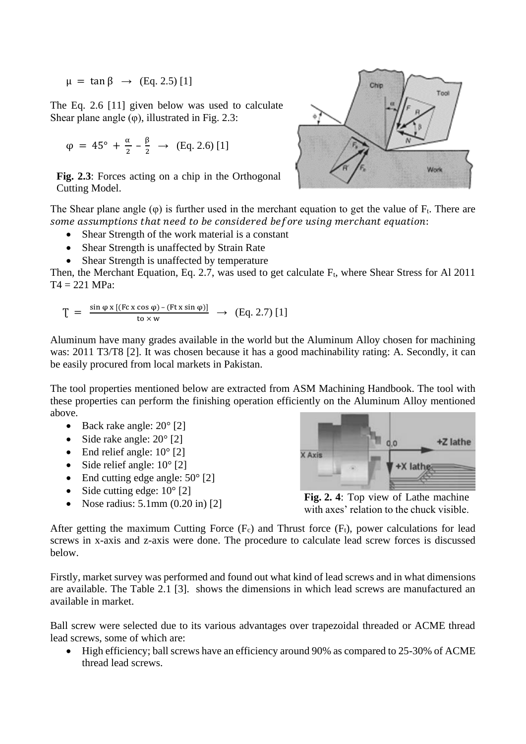$\mu = \tan \beta \rightarrow (\text{Eq. 2.5}) [1]$ 

The Eq. 2.6 [11] given below was used to calculate Shear plane angle  $(\varphi)$ , illustrated in Fig. 2.3:

$$
\varphi = 45^{\circ} + \frac{\alpha}{2} - \frac{\beta}{2} \rightarrow (\text{Eq. 2.6}) [1]
$$

**Fig. 2.3**: Forces acting on a chip in the Orthogonal Cutting Model.



The Shear plane angle  $(\varphi)$  is further used in the merchant equation to get the value of  $F_t$ . There are some assumptions that need to be considered before using merchant equation:

- Shear Strength of the work material is a constant
- Shear Strength is unaffected by Strain Rate
- Shear Strength is unaffected by temperature

Then, the Merchant Equation, Eq. 2.7, was used to get calculate  $F_t$ , where Shear Stress for Al 2011  $T4 = 221$  MPa:

$$
T = \frac{\sin \varphi \, x \, [(Fc \, x \cos \varphi) - (Ftx \sin \varphi)]}{\text{to} \times \text{w}} \rightarrow (Eq. 2.7) [1]
$$

Aluminum have many grades available in the world but the Aluminum Alloy chosen for machining was: 2011 T3/T8 [2]. It was chosen because it has a good machinability rating: A. Secondly, it can be easily procured from local markets in Pakistan.

The tool properties mentioned below are extracted from ASM Machining Handbook. The tool with these properties can perform the finishing operation efficiently on the Aluminum Alloy mentioned above.

- Back rake angle:  $20^{\circ}$  [2]
- Side rake angle:  $20^{\circ}$  [2]
- End relief angle:  $10^{\circ}$  [2]
- Side relief angle:  $10^{\circ}$  [2]
- End cutting edge angle:  $50^{\circ}$  [2]
- Side cutting edge:  $10^{\circ}$  [2]
- Nose radius:  $5.1$ mm  $(0.20 \text{ in})$  [2]



**Fig. 2. 4**: Top view of Lathe machine with axes' relation to the chuck visible.

After getting the maximum Cutting Force  $(F_c)$  and Thrust force  $(F_t)$ , power calculations for lead screws in x-axis and z-axis were done. The procedure to calculate lead screw forces is discussed below.

Firstly, market survey was performed and found out what kind of lead screws and in what dimensions are available. The Table 2.1 [3]. shows the dimensions in which lead screws are manufactured an available in market.

Ball screw were selected due to its various advantages over trapezoidal threaded or ACME thread lead screws, some of which are:

• High efficiency; ball screws have an efficiency around 90% as compared to 25-30% of ACME thread lead screws.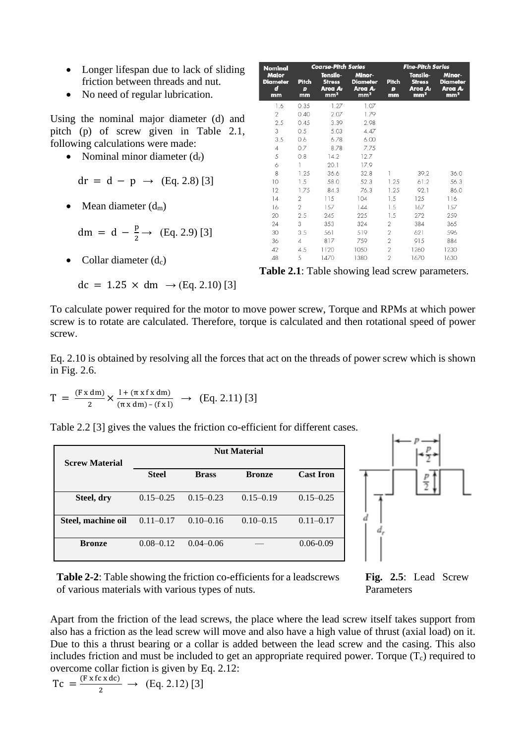- Longer lifespan due to lack of sliding friction between threads and nut.
- No need of regular lubrication.

Using the nominal major diameter (d) and pitch (p) of screw given in Table 2.1, following calculations were made:

- Nominal minor diameter  $(d_r)$ 
	- $dr = d p \rightarrow (Eq. 2.8)$  [3]
- Mean diameter  $(d_m)$

dm = d - 
$$
\frac{p}{2}
$$
  $\rightarrow$  (Eq. 2.9) [3]

Collar diameter  $(d_c)$ 

$$
dc = 1.25 \times dm \rightarrow (Eq. 2.10) [3]
$$

| Nominal                             | <b>Coarse-Pitch Series</b> |                                                         |                                                         | <b>Fine-Pitch Series</b> |                                                         |                                                         |
|-------------------------------------|----------------------------|---------------------------------------------------------|---------------------------------------------------------|--------------------------|---------------------------------------------------------|---------------------------------------------------------|
| Major<br><b>Diameter</b><br>d<br>mm | Pitch<br>Þ<br>mm           | Tensile-<br><b>Stress</b><br>Area Ar<br>mm <sup>2</sup> | Minor-<br><b>Diameter</b><br>Area Ar<br>mm <sup>2</sup> | Pitch<br>Þ<br>mm         | Tensile-<br><b>Stress</b><br>Area Ar<br>mm <sup>2</sup> | Minor-<br><b>Diameter</b><br>Area Ar<br>mm <sup>2</sup> |
| 1.6                                 | 0.35                       | 1.27                                                    | 1.07                                                    |                          |                                                         |                                                         |
| 2                                   | 0.40                       | 2.07                                                    | 1.79                                                    |                          |                                                         |                                                         |
| 2.5                                 | 0.45                       | 3.39                                                    | 2.98                                                    |                          |                                                         |                                                         |
| 3                                   | 0.5                        | 5.03                                                    | 4.47                                                    |                          |                                                         |                                                         |
| 3.5                                 | 0.6                        | 6.78                                                    | 6.00                                                    |                          |                                                         |                                                         |
| $\overline{4}$                      | 0.7                        | 8.78                                                    | 7.75                                                    |                          |                                                         |                                                         |
| 5                                   | 0.8                        | 14.2                                                    | 12.7                                                    |                          |                                                         |                                                         |
| 6                                   | 1                          | 20.1                                                    | 17.9                                                    |                          |                                                         |                                                         |
| 8                                   | 1.25                       | 36.6                                                    | 32.8                                                    | 1                        | 39.2                                                    | 36.0                                                    |
| 10                                  | 1.5                        | 58.0                                                    | 52.3                                                    | 1.25                     | 61.2                                                    | 56.3                                                    |
| 12                                  | 1.75                       | 84.3                                                    | 76.3                                                    | 1.25                     | 92.1                                                    | 86.0                                                    |
| 4                                   | 2                          | 115                                                     | 104                                                     | 1.5                      | 125                                                     | 116                                                     |
| 16                                  | 2                          | 157                                                     | 144                                                     | 1.5                      | 167                                                     | 157                                                     |
| 20                                  | 2.5                        | 245                                                     | 225                                                     | 1.5                      | 272                                                     | 259                                                     |
| 24                                  | 3                          | 353                                                     | 324                                                     | $\overline{2}$           | 384                                                     | 365                                                     |
| 30                                  | 3.5                        | 561                                                     | 519                                                     | $\overline{2}$           | 621                                                     | 596                                                     |
| 36                                  | 4                          | 817                                                     | 759                                                     | $\overline{2}$           | 915                                                     | 884                                                     |
| 42                                  | 4.5                        | 1120                                                    | 1050                                                    | $\overline{2}$           | 1260                                                    | 1230                                                    |
| 48                                  | 5                          | 1470                                                    | 1380                                                    | $\overline{2}$           | 1670                                                    | 1630                                                    |

**Table 2.1**: Table showing lead screw parameters.

To calculate power required for the motor to move power screw, Torque and RPMs at which power screw is to rotate are calculated. Therefore, torque is calculated and then rotational speed of power screw.

Eq. 2.10 is obtained by resolving all the forces that act on the threads of power screw which is shown in Fig. 2.6.

 $T = \frac{(Fx dm)}{2}$  $\frac{d(m)}{2}$   $\times \frac{1 + (\pi x f x dm)}{(\pi x dm) - (f x I)}$  $\frac{1 + (\text{max} \times \text{min})}{(\pi \times \text{dm}) - (\text{f} \times \text{I})} \rightarrow (\text{Eq. 2.11})$  [3]

Table 2.2 [3] gives the values the friction co-efficient for different cases.

| <b>Screw Material</b> | <b>Nut Material</b> |               |               |                  |  |
|-----------------------|---------------------|---------------|---------------|------------------|--|
|                       | <b>Steel</b>        | <b>Brass</b>  | <b>Bronze</b> | <b>Cast Iron</b> |  |
| Steel, dry            | $0.15 - 0.25$       | $0.15 - 0.23$ | $0.15 - 0.19$ | $0.15 - 0.25$    |  |
| Steel, machine oil    | $0.11 - 0.17$       | $0.10 - 0.16$ | $0.10 - 0.15$ | $0.11 - 0.17$    |  |
| <b>Bronze</b>         | $0.08 - 0.12$       | $0.04 - 0.06$ |               | $0.06 - 0.09$    |  |



**Table 2-2**: Table showing the friction co-efficients for a leadscrews of various materials with various types of nuts.

**Fig. 2.5**: Lead Screw Parameters

Apart from the friction of the lead screws, the place where the lead screw itself takes support from also has a friction as the lead screw will move and also have a high value of thrust (axial load) on it. Due to this a thrust bearing or a collar is added between the lead screw and the casing. This also includes friction and must be included to get an appropriate required power. Torque  $(T_c)$  required to overcome collar fiction is given by Eq. 2.12:

 $Tc = \frac{(F \times fc \times dc)}{2}$  $\frac{2 \times 4(2)}{2} \rightarrow$  (Eq. 2.12) [3]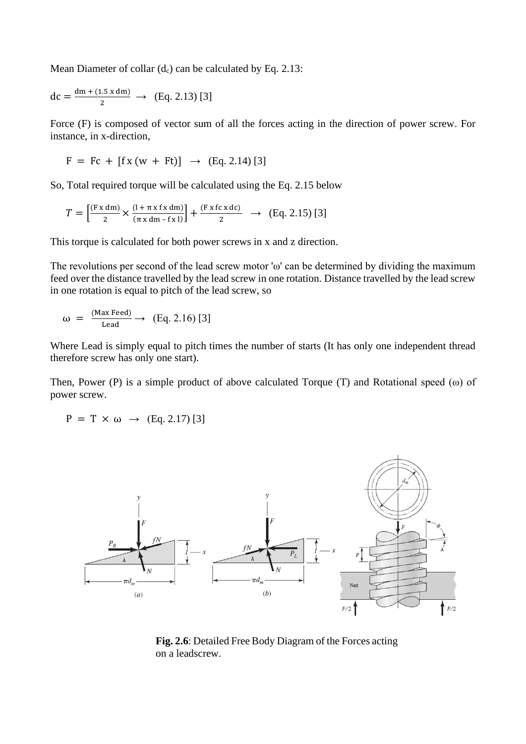Mean Diameter of collar  $(d_c)$  can be calculated by Eq. 2.13:

$$
dc = \frac{dm + (1.5 \times dm)}{2} \rightarrow (Eq. 2.13) [3]
$$

Force (F) is composed of vector sum of all the forces acting in the direction of power screw. For instance, in x-direction,

$$
F = Fc + [fx(w + Ft)] \rightarrow (Eq. 2.14) [3]
$$

So, Total required torque will be calculated using the Eq. 2.15 below

$$
T = \left[\frac{(\text{Fx dm})}{2} \times \frac{(1 + \pi \times \text{fx dm})}{(\pi \times \text{dm} - \text{fx 1})}\right] + \frac{(\text{Fx fc x dc})}{2} \rightarrow (\text{Eq. 2.15) [3]}
$$

This torque is calculated for both power screws in x and z direction.

The revolutions per second of the lead screw motor 'ω' can be determined by dividing the maximum feed over the distance travelled by the lead screw in one rotation. Distance travelled by the lead screw in one rotation is equal to pitch of the lead screw, so

$$
\omega = \frac{\text{(Max Feed)}}{\text{lead}} \rightarrow \text{(Eq. 2.16) [3]}
$$

Where Lead is simply equal to pitch times the number of starts (It has only one independent thread therefore screw has only one start).

Then, Power (P) is a simple product of above calculated Torque (T) and Rotational speed (ω) of power screw.

$$
P = T \times \omega \rightarrow (Eq. 2.17) [3]
$$



**Fig. 2.6**: Detailed Free Body Diagram of the Forces acting on a leadscrew.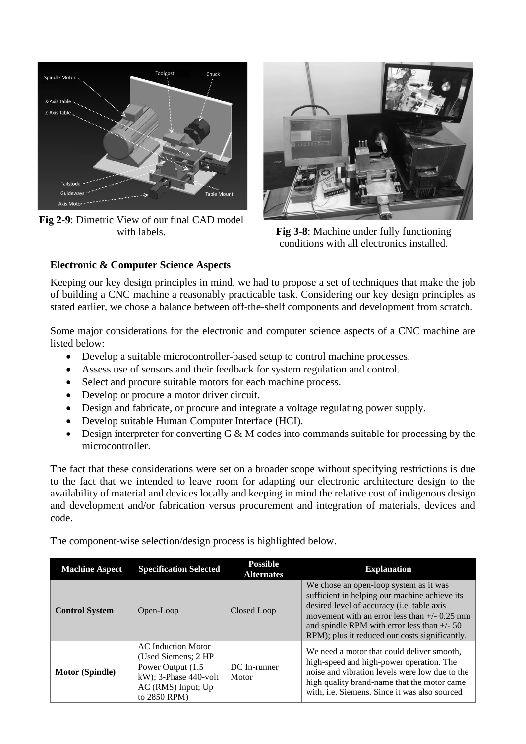

**Fig 2-9**: Dimetric View of our final CAD model



with labels. **Fig 3-8**: Machine under fully functioning conditions with all electronics installed.

### **Electronic & Computer Science Aspects**

Keeping our key design principles in mind, we had to propose a set of techniques that make the job of building a CNC machine a reasonably practicable task. Considering our key design principles as stated earlier, we chose a balance between off-the-shelf components and development from scratch.

Some major considerations for the electronic and computer science aspects of a CNC machine are listed below:

- Develop a suitable microcontroller-based setup to control machine processes.
- Assess use of sensors and their feedback for system regulation and control.
- Select and procure suitable motors for each machine process.
- Develop or procure a motor driver circuit.
- Design and fabricate, or procure and integrate a voltage regulating power supply.
- Develop suitable Human Computer Interface (HCI).
- Design interpreter for converting  $G \& M$  codes into commands suitable for processing by the microcontroller.

The fact that these considerations were set on a broader scope without specifying restrictions is due to the fact that we intended to leave room for adapting our electronic architecture design to the availability of material and devices locally and keeping in mind the relative cost of indigenous design and development and/or fabrication versus procurement and integration of materials, devices and code.

The component-wise selection/design process is highlighted below.

| <b>Machine Aspect</b>  | <b>Specification Selected</b>                                                                                                               | <b>Possible</b><br><b>Alternates</b> | <b>Explanation</b>                                                                                                                                                                                                                                                                         |
|------------------------|---------------------------------------------------------------------------------------------------------------------------------------------|--------------------------------------|--------------------------------------------------------------------------------------------------------------------------------------------------------------------------------------------------------------------------------------------------------------------------------------------|
| <b>Control System</b>  | Open-Loop                                                                                                                                   | Closed Loop                          | We chose an open-loop system as it was<br>sufficient in helping our machine achieve its<br>desired level of accuracy (i.e. table axis<br>movement with an error less than $+/- 0.25$ mm<br>and spindle RPM with error less than $+/- 50$<br>RPM); plus it reduced our costs significantly. |
| <b>Motor (Spindle)</b> | <b>AC</b> Induction Motor<br>(Used Siemens: 2 HP)<br>Power Output (1.5)<br>$kW$ ); 3-Phase 440-volt<br>$AC$ (RMS) Input; Up<br>to 2850 RPM) | DC In-runner<br>Motor                | We need a motor that could deliver smooth.<br>high-speed and high-power operation. The<br>noise and vibration levels were low due to the<br>high quality brand-name that the motor came<br>with, i.e. Siemens. Since it was also sourced                                                   |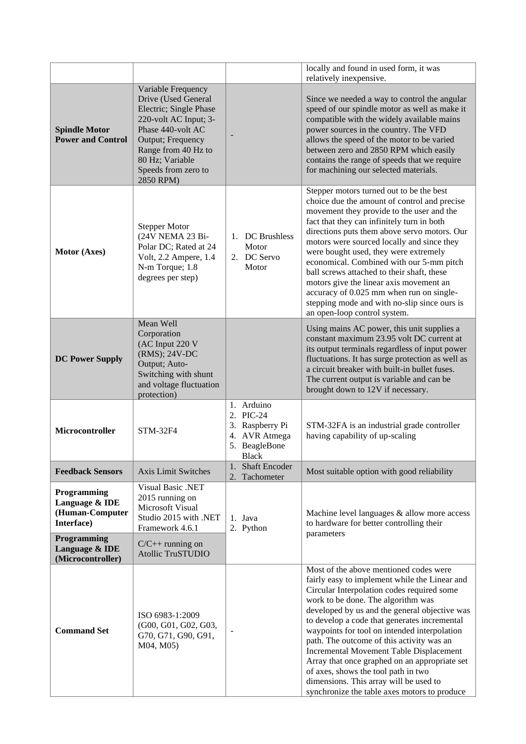|                                                                               |                                                                                                                                                                                                                      |                                                                                       | locally and found in used form, it was<br>relatively inexpensive.                                                                                                                                                                                                                                                                                                                                                                                                                                                                                                                                      |
|-------------------------------------------------------------------------------|----------------------------------------------------------------------------------------------------------------------------------------------------------------------------------------------------------------------|---------------------------------------------------------------------------------------|--------------------------------------------------------------------------------------------------------------------------------------------------------------------------------------------------------------------------------------------------------------------------------------------------------------------------------------------------------------------------------------------------------------------------------------------------------------------------------------------------------------------------------------------------------------------------------------------------------|
| <b>Spindle Motor</b><br><b>Power and Control</b>                              | Variable Frequency<br>Drive (Used General<br>Electric; Single Phase<br>220-volt AC Input; 3-<br>Phase 440-volt AC<br>Output; Frequency<br>Range from 40 Hz to<br>80 Hz; Variable<br>Speeds from zero to<br>2850 RPM) |                                                                                       | Since we needed a way to control the angular<br>speed of our spindle motor as well as make it<br>compatible with the widely available mains<br>power sources in the country. The VFD<br>allows the speed of the motor to be varied<br>between zero and 2850 RPM which easily<br>contains the range of speeds that we require<br>for machining our selected materials.                                                                                                                                                                                                                                  |
| Motor (Axes)                                                                  | <b>Stepper Motor</b><br>(24V NEMA 23 Bi-<br>Polar DC; Rated at 24<br>Volt, 2.2 Ampere, 1.4<br>N-m Torque; 1.8<br>degrees per step)                                                                                   | 1. DC Brushless<br>Motor<br>2. DC Servo<br>Motor                                      | Stepper motors turned out to be the best<br>choice due the amount of control and precise<br>movement they provide to the user and the<br>fact that they can infinitely turn in both<br>directions puts them above servo motors. Our<br>motors were sourced locally and since they<br>were bought used, they were extremely<br>economical. Combined with our 5-mm pitch<br>ball screws attached to their shaft, these<br>motors give the linear axis movement an<br>accuracy of 0.025 mm when run on single-<br>stepping mode and with no-slip since ours is<br>an open-loop control system.            |
| <b>DC Power Supply</b>                                                        | Mean Well<br>Corporation<br>(AC Input 220 V<br>(RMS); 24V-DC<br>Output; Auto-<br>Switching with shunt<br>and voltage fluctuation<br>protection)                                                                      |                                                                                       | Using mains AC power, this unit supplies a<br>constant maximum 23.95 volt DC current at<br>its output terminals regardless of input power<br>fluctuations. It has surge protection as well as<br>a circuit breaker with built-in bullet fuses.<br>The current output is variable and can be<br>brought down to 12V if necessary.                                                                                                                                                                                                                                                                       |
| Microcontroller                                                               | <b>STM-32F4</b>                                                                                                                                                                                                      | 1. Arduino<br>2. PIC-24<br>3. Raspberry Pi<br>4. AVR Atmega<br>5. BeagleBone<br>Black | STM-32FA is an industrial grade controller<br>having capability of up-scaling                                                                                                                                                                                                                                                                                                                                                                                                                                                                                                                          |
| <b>Feedback Sensors</b>                                                       | <b>Axis Limit Switches</b>                                                                                                                                                                                           | <b>Shaft Encoder</b><br>1.<br>2. Tachometer                                           | Most suitable option with good reliability                                                                                                                                                                                                                                                                                                                                                                                                                                                                                                                                                             |
| Programming<br>Language & IDE<br>(Human-Computer<br>Interface)<br>Programming | <b>Visual Basic .NET</b><br>2015 running on<br>Microsoft Visual<br>Studio 2015 with .NET<br>Framework 4.6.1                                                                                                          | 1. Java<br>2. Python                                                                  | Machine level languages & allow more access<br>to hardware for better controlling their<br>parameters                                                                                                                                                                                                                                                                                                                                                                                                                                                                                                  |
| Language & IDE<br>(Microcontroller)                                           | $C/C++$ running on<br><b>Atollic TruSTUDIO</b>                                                                                                                                                                       |                                                                                       |                                                                                                                                                                                                                                                                                                                                                                                                                                                                                                                                                                                                        |
| <b>Command Set</b>                                                            | ISO 6983-1:2009<br>(G00, G01, G02, G03,<br>G70, G71, G90, G91,<br>M04, M05)                                                                                                                                          |                                                                                       | Most of the above mentioned codes were<br>fairly easy to implement while the Linear and<br>Circular Interpolation codes required some<br>work to be done. The algorithm was<br>developed by us and the general objective was<br>to develop a code that generates incremental<br>waypoints for tool on intended interpolation<br>path. The outcome of this activity was an<br>Incremental Movement Table Displacement<br>Array that once graphed on an appropriate set<br>of axes, shows the tool path in two<br>dimensions. This array will be used to<br>synchronize the table axes motors to produce |